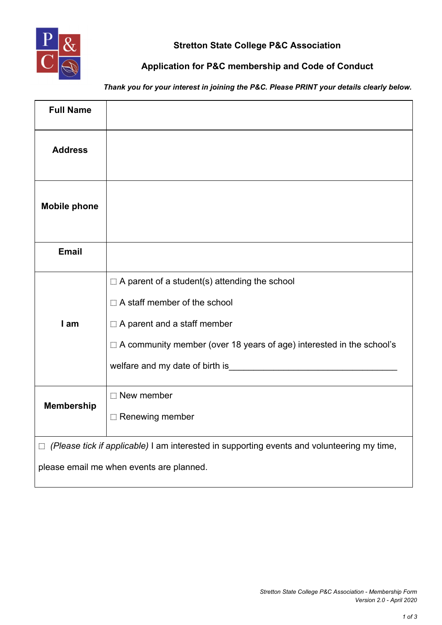

## **Stretton State College P&C Association**

## **Application for P&C membership and Code of Conduct**

*Thank you for your interest in joining the P&C. Please PRINT your details clearly below.*

| <b>Full Name</b>                                                                                  |                                                                                                                                                                                                                                                                                     |  |
|---------------------------------------------------------------------------------------------------|-------------------------------------------------------------------------------------------------------------------------------------------------------------------------------------------------------------------------------------------------------------------------------------|--|
| <b>Address</b>                                                                                    |                                                                                                                                                                                                                                                                                     |  |
| <b>Mobile phone</b>                                                                               |                                                                                                                                                                                                                                                                                     |  |
| <b>Email</b>                                                                                      |                                                                                                                                                                                                                                                                                     |  |
| I am                                                                                              | $\Box$ A parent of a student(s) attending the school<br>$\Box$ A staff member of the school<br>$\Box$ A parent and a staff member<br>$\Box$ A community member (over 18 years of age) interested in the school's<br>welfare and my date of birth is example and my date of birth is |  |
| <b>Membership</b>                                                                                 | $\Box$ New member<br>Renewing member                                                                                                                                                                                                                                                |  |
| $\Box$ (Please tick if applicable) I am interested in supporting events and volunteering my time, |                                                                                                                                                                                                                                                                                     |  |
| please email me when events are planned.                                                          |                                                                                                                                                                                                                                                                                     |  |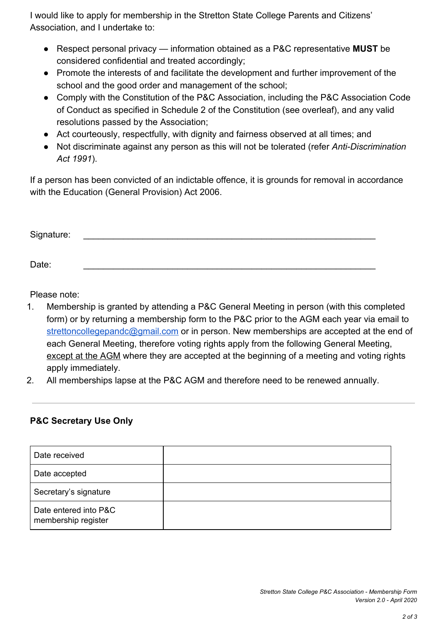I would like to apply for membership in the Stretton State College Parents and Citizens' Association, and I undertake to:

- Respect personal privacy information obtained as a P&C representative **MUST** be considered confidential and treated accordingly;
- Promote the interests of and facilitate the development and further improvement of the school and the good order and management of the school;
- Comply with the Constitution of the P&C Association, including the P&C Association Code of Conduct as specified in Schedule 2 of the Constitution (see overleaf), and any valid resolutions passed by the Association;
- Act courteously, respectfully, with dignity and fairness observed at all times; and
- Not discriminate against any person as this will not be tolerated (refer *Anti-Discrimination Act 1991*).

If a person has been convicted of an indictable offence, it is grounds for removal in accordance with the Education (General Provision) Act 2006.

| Signature: |  |  |  |
|------------|--|--|--|
|            |  |  |  |
| Date:      |  |  |  |

Please note:

- 1. Membership is granted by attending a P&C General Meeting in person (with this completed form) or by returning a membership form to the P&C prior to the AGM each year via email to [strettoncollegepandc@gmail.com](mailto:strettoncollegepandc@gmail.com) or in person. New memberships are accepted at the end of each General Meeting, therefore voting rights apply from the following General Meeting, except at the AGM where they are accepted at the beginning of a meeting and voting rights apply immediately.
- 2. All memberships lapse at the P&C AGM and therefore need to be renewed annually.

## **P&C Secretary Use Only**

| Date received                                |  |
|----------------------------------------------|--|
| Date accepted                                |  |
| Secretary's signature                        |  |
| Date entered into P&C<br>membership register |  |